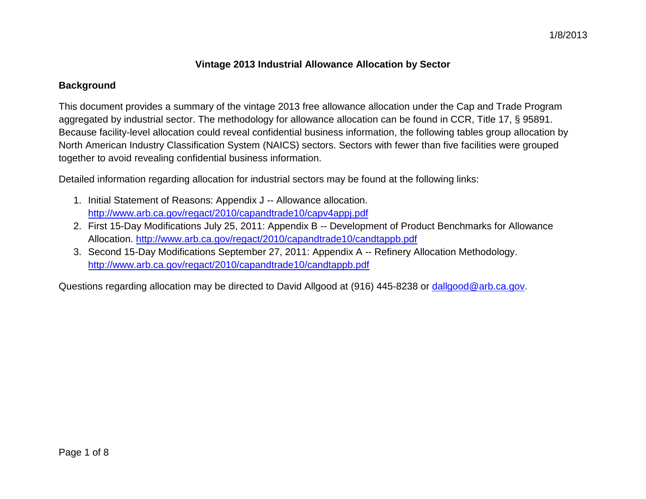## **Vintage 2013 Industrial Allowance Allocation by Sector**

## **Background**

This document provides a summary of the vintage 2013 free allowance allocation under the Cap and Trade Program aggregated by industrial sector. The methodology for allowance allocation can be found in CCR, Title 17, § 95891. Because facility-level allocation could reveal confidential business information, the following tables group allocation by North American Industry Classification System (NAICS) sectors. Sectors with fewer than five facilities were grouped together to avoid revealing confidential business information.

Detailed information regarding allocation for industrial sectors may be found at the following links:

- 1. Initial Statement of Reasons: Appendix J -- Allowance allocation. <http://www.arb.ca.gov/regact/2010/capandtrade10/capv4appj.pdf>
- 2. First 15-Day Modifications July 25, 2011: Appendix B -- Development of Product Benchmarks for Allowance Allocation.<http://www.arb.ca.gov/regact/2010/capandtrade10/candtappb.pdf>
- 3. Second 15-Day Modifications September 27, 2011: Appendix A -- Refinery Allocation Methodology. <http://www.arb.ca.gov/regact/2010/capandtrade10/candtappb.pdf>

Questions regarding allocation may be directed to David Allgood at (916) 445-8238 or [dallgood@arb.ca.gov.](mailto:dallgood@arb.ca.gov)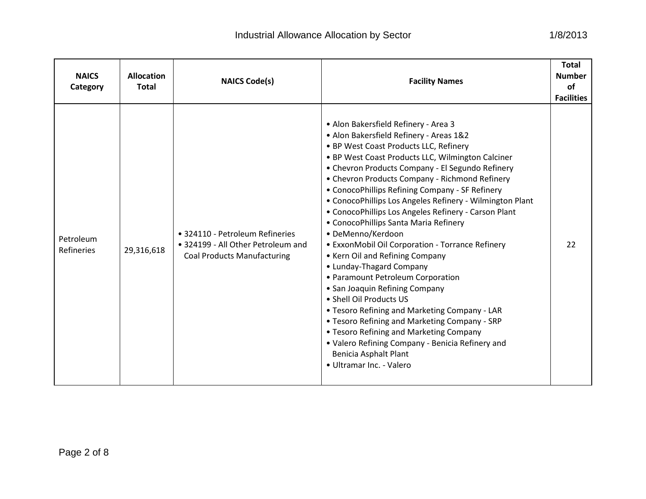|  | 1/8/2013 |  |  |  |
|--|----------|--|--|--|
|--|----------|--|--|--|

| <b>NAICS</b><br>Category       | <b>Allocation</b><br><b>Total</b> | <b>NAICS Code(s)</b>                                                                                        | <b>Facility Names</b>                                                                                                                                                                                                                                                                                                                                                                                                                                                                                                                                                                                                                                                                                                                                                                                                                                                                                                                                                                                | <b>Total</b><br><b>Number</b><br><b>of</b><br><b>Facilities</b> |
|--------------------------------|-----------------------------------|-------------------------------------------------------------------------------------------------------------|------------------------------------------------------------------------------------------------------------------------------------------------------------------------------------------------------------------------------------------------------------------------------------------------------------------------------------------------------------------------------------------------------------------------------------------------------------------------------------------------------------------------------------------------------------------------------------------------------------------------------------------------------------------------------------------------------------------------------------------------------------------------------------------------------------------------------------------------------------------------------------------------------------------------------------------------------------------------------------------------------|-----------------------------------------------------------------|
| Petroleum<br><b>Refineries</b> | 29,316,618                        | • 324110 - Petroleum Refineries<br>• 324199 - All Other Petroleum and<br><b>Coal Products Manufacturing</b> | • Alon Bakersfield Refinery - Area 3<br>• Alon Bakersfield Refinery - Areas 1&2<br>• BP West Coast Products LLC, Refinery<br>• BP West Coast Products LLC, Wilmington Calciner<br>• Chevron Products Company - El Segundo Refinery<br>• Chevron Products Company - Richmond Refinery<br>• ConocoPhillips Refining Company - SF Refinery<br>• ConocoPhillips Los Angeles Refinery - Wilmington Plant<br>• ConocoPhillips Los Angeles Refinery - Carson Plant<br>• ConocoPhillips Santa Maria Refinery<br>· DeMenno/Kerdoon<br>• ExxonMobil Oil Corporation - Torrance Refinery<br>• Kern Oil and Refining Company<br>• Lunday-Thagard Company<br>• Paramount Petroleum Corporation<br>• San Joaquin Refining Company<br>• Shell Oil Products US<br>. Tesoro Refining and Marketing Company - LAR<br>• Tesoro Refining and Marketing Company - SRP<br>• Tesoro Refining and Marketing Company<br>• Valero Refining Company - Benicia Refinery and<br>Benicia Asphalt Plant<br>· Ultramar Inc. - Valero | 22                                                              |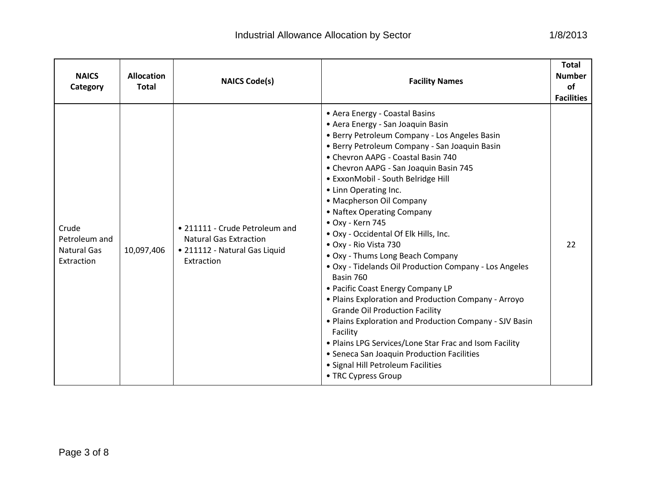| <b>NAICS</b><br>Category                                   | <b>Allocation</b><br><b>Total</b> | <b>NAICS Code(s)</b>                                                                                           | <b>Facility Names</b>                                                                                                                                                                                                                                                                                                                                                                                                                                                                                                                                                                                                                                                                                                                                                                                                                                                                                                                                             | <b>Total</b><br><b>Number</b><br><b>of</b><br><b>Facilities</b> |
|------------------------------------------------------------|-----------------------------------|----------------------------------------------------------------------------------------------------------------|-------------------------------------------------------------------------------------------------------------------------------------------------------------------------------------------------------------------------------------------------------------------------------------------------------------------------------------------------------------------------------------------------------------------------------------------------------------------------------------------------------------------------------------------------------------------------------------------------------------------------------------------------------------------------------------------------------------------------------------------------------------------------------------------------------------------------------------------------------------------------------------------------------------------------------------------------------------------|-----------------------------------------------------------------|
| Crude<br>Petroleum and<br><b>Natural Gas</b><br>Extraction | 10,097,406                        | • 211111 - Crude Petroleum and<br><b>Natural Gas Extraction</b><br>· 211112 - Natural Gas Liquid<br>Extraction | • Aera Energy - Coastal Basins<br>• Aera Energy - San Joaquin Basin<br>• Berry Petroleum Company - Los Angeles Basin<br>• Berry Petroleum Company - San Joaquin Basin<br>• Chevron AAPG - Coastal Basin 740<br>• Chevron AAPG - San Joaquin Basin 745<br>• ExxonMobil - South Belridge Hill<br>• Linn Operating Inc.<br>• Macpherson Oil Company<br>• Naftex Operating Company<br>• Oxy - Kern 745<br>. Oxy - Occidental Of Elk Hills, Inc.<br>• Oxy - Rio Vista 730<br>• Oxy - Thums Long Beach Company<br>. Oxy - Tidelands Oil Production Company - Los Angeles<br>Basin 760<br>• Pacific Coast Energy Company LP<br>• Plains Exploration and Production Company - Arroyo<br><b>Grande Oil Production Facility</b><br>• Plains Exploration and Production Company - SJV Basin<br>Facility<br>. Plains LPG Services/Lone Star Frac and Isom Facility<br>• Seneca San Joaquin Production Facilities<br>• Signal Hill Petroleum Facilities<br>• TRC Cypress Group | 22                                                              |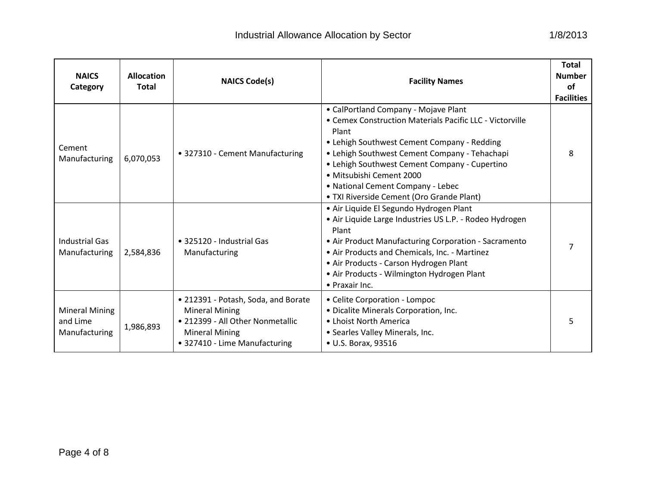| <b>NAICS</b><br>Category                    | <b>Allocation</b><br><b>Total</b> | <b>NAICS Code(s)</b>                                                                                                                                       | <b>Facility Names</b>                                                                                                                                                                                                                                                                                                                                                    | <b>Total</b><br><b>Number</b><br>of<br><b>Facilities</b> |
|---------------------------------------------|-----------------------------------|------------------------------------------------------------------------------------------------------------------------------------------------------------|--------------------------------------------------------------------------------------------------------------------------------------------------------------------------------------------------------------------------------------------------------------------------------------------------------------------------------------------------------------------------|----------------------------------------------------------|
| Cement<br>Manufacturing                     | 6,070,053                         | • 327310 - Cement Manufacturing                                                                                                                            | • CalPortland Company - Mojave Plant<br>• Cemex Construction Materials Pacific LLC - Victorville<br>Plant<br>• Lehigh Southwest Cement Company - Redding<br>• Lehigh Southwest Cement Company - Tehachapi<br>• Lehigh Southwest Cement Company - Cupertino<br>· Mitsubishi Cement 2000<br>• National Cement Company - Lebec<br>• TXI Riverside Cement (Oro Grande Plant) | 8                                                        |
| <b>Industrial Gas</b><br>Manufacturing      | 2,584,836                         | • 325120 - Industrial Gas<br>Manufacturing                                                                                                                 | · Air Liquide El Segundo Hydrogen Plant<br>· Air Liquide Large Industries US L.P. - Rodeo Hydrogen<br>Plant<br>• Air Product Manufacturing Corporation - Sacramento<br>• Air Products and Chemicals, Inc. - Martinez<br>• Air Products - Carson Hydrogen Plant<br>• Air Products - Wilmington Hydrogen Plant<br>• Praxair Inc.                                           |                                                          |
| Mineral Mining<br>and Lime<br>Manufacturing | 1,986,893                         | • 212391 - Potash, Soda, and Borate<br><b>Mineral Mining</b><br>• 212399 - All Other Nonmetallic<br><b>Mineral Mining</b><br>• 327410 - Lime Manufacturing | • Celite Corporation - Lompoc<br>• Dicalite Minerals Corporation, Inc.<br>• Lhoist North America<br>• Searles Valley Minerals, Inc.<br>• U.S. Borax, 93516                                                                                                                                                                                                               |                                                          |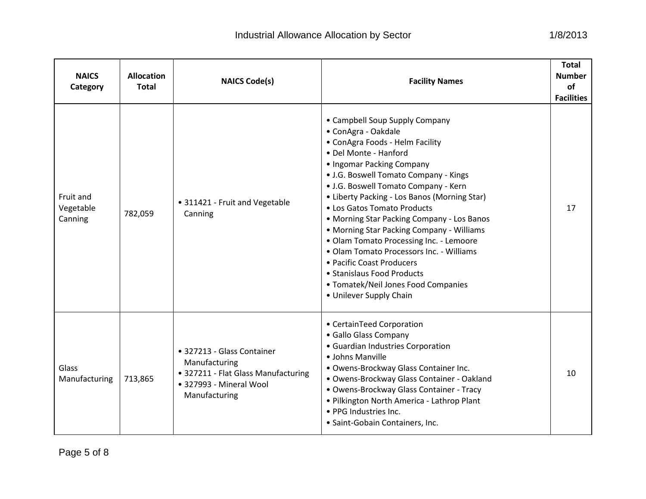| sector                           | 1/8/2013                                                 |  |
|----------------------------------|----------------------------------------------------------|--|
| <b>Facility Names</b>            | <b>Total</b><br><b>Number</b><br>οf<br><b>Facilities</b> |  |
| <b>Supply Company</b><br>الململة |                                                          |  |

| <b>NAICS</b><br>Category          | <b>Allocation</b><br><b>Total</b> | <b>NAICS Code(s)</b>                                                                                                           | <b>Facility Names</b>                                                                                                                                                                                                                                                                                                                                                                                                                                                                                                                                                                                                         | Total<br><b>Number</b><br><b>of</b><br><b>Facilities</b> |
|-----------------------------------|-----------------------------------|--------------------------------------------------------------------------------------------------------------------------------|-------------------------------------------------------------------------------------------------------------------------------------------------------------------------------------------------------------------------------------------------------------------------------------------------------------------------------------------------------------------------------------------------------------------------------------------------------------------------------------------------------------------------------------------------------------------------------------------------------------------------------|----------------------------------------------------------|
| Fruit and<br>Vegetable<br>Canning | 782,059                           | • 311421 - Fruit and Vegetable<br>Canning                                                                                      | • Campbell Soup Supply Company<br>• ConAgra - Oakdale<br>• ConAgra Foods - Helm Facility<br>• Del Monte - Hanford<br>• Ingomar Packing Company<br>• J.G. Boswell Tomato Company - Kings<br>• J.G. Boswell Tomato Company - Kern<br>• Liberty Packing - Los Banos (Morning Star)<br>• Los Gatos Tomato Products<br>• Morning Star Packing Company - Los Banos<br>• Morning Star Packing Company - Williams<br>· Olam Tomato Processing Inc. - Lemoore<br>• Olam Tomato Processors Inc. - Williams<br>• Pacific Coast Producers<br>• Stanislaus Food Products<br>• Tomatek/Neil Jones Food Companies<br>• Unilever Supply Chain | 17                                                       |
| Glass<br>Manufacturing            | 713,865                           | • 327213 - Glass Container<br>Manufacturing<br>• 327211 - Flat Glass Manufacturing<br>• 327993 - Mineral Wool<br>Manufacturing | • CertainTeed Corporation<br>• Gallo Glass Company<br>• Guardian Industries Corporation<br>• Johns Manville<br>. Owens-Brockway Glass Container Inc.<br>· Owens-Brockway Glass Container - Oakland<br>· Owens-Brockway Glass Container - Tracy<br>. Pilkington North America - Lathrop Plant<br>• PPG Industries Inc.<br>· Saint-Gobain Containers, Inc.                                                                                                                                                                                                                                                                      | 10                                                       |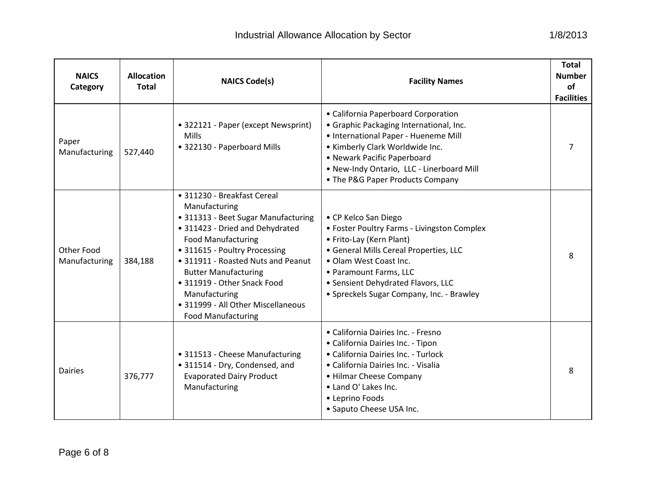| <b>NAICS</b><br>Category           | <b>Allocation</b><br><b>Total</b> | <b>NAICS Code(s)</b>                                                                                                                                                                                                                                                                                                                                                         | <b>Facility Names</b>                                                                                                                                                                                                                                                            | <b>Total</b><br><b>Number</b><br>of<br><b>Facilities</b> |
|------------------------------------|-----------------------------------|------------------------------------------------------------------------------------------------------------------------------------------------------------------------------------------------------------------------------------------------------------------------------------------------------------------------------------------------------------------------------|----------------------------------------------------------------------------------------------------------------------------------------------------------------------------------------------------------------------------------------------------------------------------------|----------------------------------------------------------|
| Paper<br>Manufacturing             | 527,440                           | • 322121 - Paper (except Newsprint)<br><b>Mills</b><br>• 322130 - Paperboard Mills                                                                                                                                                                                                                                                                                           | • California Paperboard Corporation<br>· Graphic Packaging International, Inc.<br>• International Paper - Hueneme Mill<br>• Kimberly Clark Worldwide Inc.<br>• Newark Pacific Paperboard<br>. New-Indy Ontario, LLC - Linerboard Mill<br>• The P&G Paper Products Company        |                                                          |
| <b>Other Food</b><br>Manufacturing | 384,188                           | • 311230 - Breakfast Cereal<br>Manufacturing<br>• 311313 - Beet Sugar Manufacturing<br>• 311423 - Dried and Dehydrated<br><b>Food Manufacturing</b><br>• 311615 - Poultry Processing<br>• 311911 - Roasted Nuts and Peanut<br><b>Butter Manufacturing</b><br>• 311919 - Other Snack Food<br>Manufacturing<br>• 311999 - All Other Miscellaneous<br><b>Food Manufacturing</b> | • CP Kelco San Diego<br>• Foster Poultry Farms - Livingston Complex<br>• Frito-Lay (Kern Plant)<br>· General Mills Cereal Properties, LLC<br>• Olam West Coast Inc.<br>• Paramount Farms, LLC<br>• Sensient Dehydrated Flavors, LLC<br>• Spreckels Sugar Company, Inc. - Brawley | 8                                                        |
| <b>Dairies</b>                     | 376,777                           | • 311513 - Cheese Manufacturing<br>• 311514 - Dry, Condensed, and<br><b>Evaporated Dairy Product</b><br>Manufacturing                                                                                                                                                                                                                                                        | • California Dairies Inc. - Fresno<br>· California Dairies Inc. - Tipon<br>· California Dairies Inc. - Turlock<br>· California Dairies Inc. - Visalia<br>• Hilmar Cheese Company<br>• Land O' Lakes Inc.<br>• Leprino Foods<br>• Saputo Cheese USA Inc.                          | 8                                                        |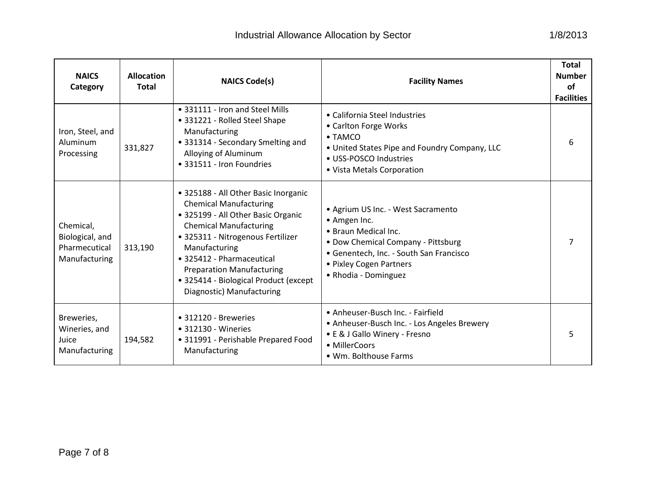| <b>NAICS</b><br>Category                                       | <b>Allocation</b><br><b>Total</b> | <b>NAICS Code(s)</b>                                                                                                                                                                                                                                                                                                                      | <b>Facility Names</b>                                                                                                                                                                                          | <b>Total</b><br><b>Number</b><br>of<br><b>Facilities</b> |
|----------------------------------------------------------------|-----------------------------------|-------------------------------------------------------------------------------------------------------------------------------------------------------------------------------------------------------------------------------------------------------------------------------------------------------------------------------------------|----------------------------------------------------------------------------------------------------------------------------------------------------------------------------------------------------------------|----------------------------------------------------------|
| Iron, Steel, and<br>Aluminum<br>Processing                     | 331,827                           | • 331111 - Iron and Steel Mills<br>• 331221 - Rolled Steel Shape<br>Manufacturing<br>• 331314 - Secondary Smelting and<br>Alloying of Aluminum<br>• 331511 - Iron Foundries                                                                                                                                                               | • California Steel Industries<br>• Carlton Forge Works<br>$\bullet$ TAMCO<br>. United States Pipe and Foundry Company, LLC<br>• USS-POSCO Industries<br>• Vista Metals Corporation                             | 6                                                        |
| Chemical,<br>Biological, and<br>Pharmecutical<br>Manufacturing | 313,190                           | • 325188 - All Other Basic Inorganic<br><b>Chemical Manufacturing</b><br>• 325199 - All Other Basic Organic<br><b>Chemical Manufacturing</b><br>· 325311 - Nitrogenous Fertilizer<br>Manufacturing<br>• 325412 - Pharmaceutical<br><b>Preparation Manufacturing</b><br>• 325414 - Biological Product (except<br>Diagnostic) Manufacturing | • Agrium US Inc. - West Sacramento<br>• Amgen Inc.<br>• Braun Medical Inc.<br>• Dow Chemical Company - Pittsburg<br>• Genentech, Inc. - South San Francisco<br>• Pixley Cogen Partners<br>• Rhodia - Dominguez |                                                          |
| Breweries,<br>Wineries, and<br>Juice<br>Manufacturing          | 194,582                           | • 312120 - Breweries<br>• 312130 - Wineries<br>· 311991 - Perishable Prepared Food<br>Manufacturing                                                                                                                                                                                                                                       | • Anheuser-Busch Inc. - Fairfield<br>• Anheuser-Busch Inc. - Los Angeles Brewery<br>• E & J Gallo Winery - Fresno<br>• MillerCoors<br>• Wm. Bolthouse Farms                                                    | 5                                                        |